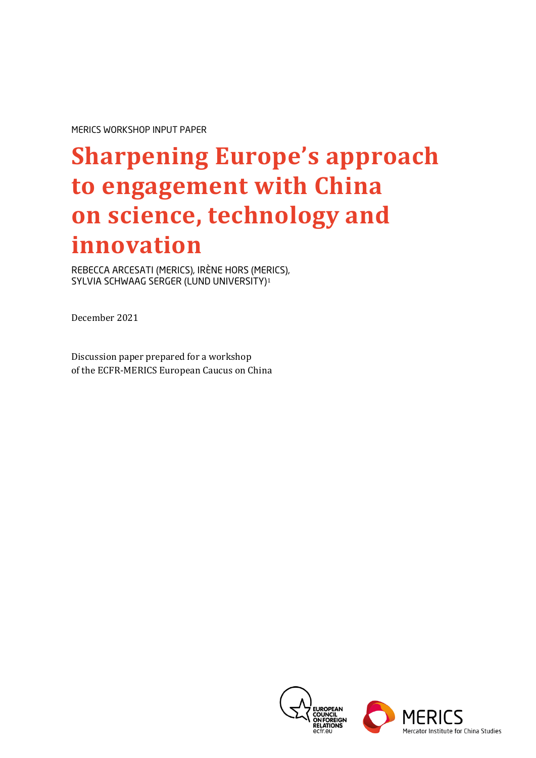MERICS WORKSHOP INPUT PAPER

# **Sharpening Europe's approach to engagement with China on science, technology and innovation**

REBECCA ARCESATI (MERICS), IRÈNE HORS (MERICS), SYLVIA SCHWAAG SERGER (LUND UNIVERSITY)[1](#page-22-0)

December 2021

Discussion paper prepared for a workshop of the ECFR-MERICS European Caucus on China

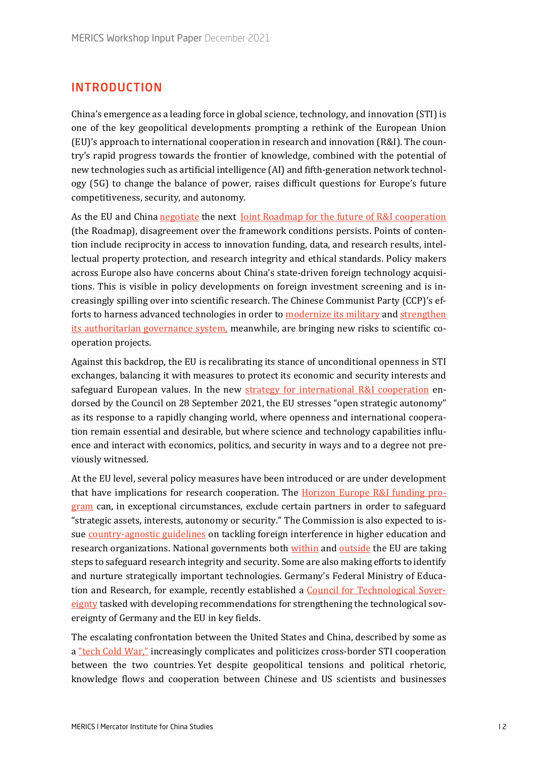# INTRODUCTION

China's emergence as a leading force in global science, technology, and innovation (STI) is one of the key geopolitical developments prompting a rethink of the European Union (EU)'s approach to international cooperation in research and innovation (R&I). The country's rapid progress towards the frontier of knowledge, combined with the potential of new technologies such as artificial intelligence (AI) and fifth-generation network technology (5G) to change the balance of power, raises difficult questions for Europe's future competitiveness, security, and autonomy.

As the EU and China [negotiate](https://sciencebusiness.net/technology-strategy-board/news/talks-future-science-partnership-china-not-easy-exercise) the next  [Joint Roadmap for the future of R&I cooperation](https://ec.europa.eu/info/news/eu-china-high-level-dialogue-research-and-innovation-2021-jan-25_en) (the Roadmap), disagreement over the framework conditions persists. Points of contention include reciprocity in access to innovation funding, data, and research results, intellectual property protection, and research integrity and ethical standards. Policy makers across Europe also have concerns about China's state-driven foreign technology acquisitions. This is visible in policy developments on foreign investment screening and is increasingly spilling over into scientific research. The Chinese Communist Party (CCP)'s efforts to harness advanced technologies in order t[o modernize its military](https://www.cnas.org/publications/congressional-testimony/chinese-military-innovation-in-artificial-intelligence) and strengthen [its authoritarian governance system,](https://www.congress.gov/event/116th-congress/house-event/109462) meanwhile, are bringing new risks to scientific cooperation projects.

Against this backdrop, the EU is recalibrating its stance of unconditional openness in STI exchanges, balancing it with measures to protect its economic and security interests and safeguard European values. In the new [strategy for international R&I cooperation](https://ec.europa.eu/commission/presscorner/detail/en/ip_21_2465) endorsed by the Council on 28 September 2021, the EU stresses "open strategic autonomy" as its response to a rapidly changing world, where openness and international cooperation remain essential and desirable, but where science and technology capabilities influence and interact with economics, politics, and security in ways and to a degree not previously witnessed.

At the EU level, several policy measures have been introduced or are under development that have implications for research cooperation. The [Horizon Europe R&I funding pro](https://eur-lex.europa.eu/legal-content/EN/TXT/PDF/?uri=CELEX:32021R0695&from=EN)[gram](https://eur-lex.europa.eu/legal-content/EN/TXT/PDF/?uri=CELEX:32021R0695&from=EN) can, in exceptional circumstances, exclude certain partners in order to safeguard "strategic assets, interests, autonomy or security." The Commission is also expected to issue country[-agnostic gu](https://s3.eu-central-1.amazonaws.com/euobs-media/3ef6dc3d60ee27a2df16f62d47e93fdc.pdf)idelines on tackling foreign interference in higher education and research organizations. National governments both [within](https://www.government.nl/documents/letters/2020/11/27/knowledge-security-in-higher-education-and-research) and [outside](https://www.gov.uk/government/news/dedicated-government-team-to-protect-researchers-work-from-hostile-activity) the EU are taking steps to safeguard research integrity and security. Some are also making efforts to identify and nurture strategically important technologies. Germany's Federal Ministry of Education and Research, for example, recently established a Coun[cil for Technological Sover](https://www.bmbf.de/bmbf/shareddocs/pressemitteilungen/de/2021/08/020921-Rat-technologische-Souveraenitaet.html)[eignty](https://www.bmbf.de/bmbf/shareddocs/pressemitteilungen/de/2021/08/020921-Rat-technologische-Souveraenitaet.html) tasked with developing recommendations for strengthening the technological sovereignty of Germany and the EU in key fields.

The escalating confrontation between the United States and China, described by some as a ["tech Cold War,"](https://www.foreignaffairs.com/articles/north-america/2020-09-09/coming-tech-cold-war-china) increasingly complicates and politicizes cross-border STI cooperation between the two countries. Yet despite geopolitical tensions and political rhetoric, knowledge flows and cooperation between Chinese and US scientists and businesses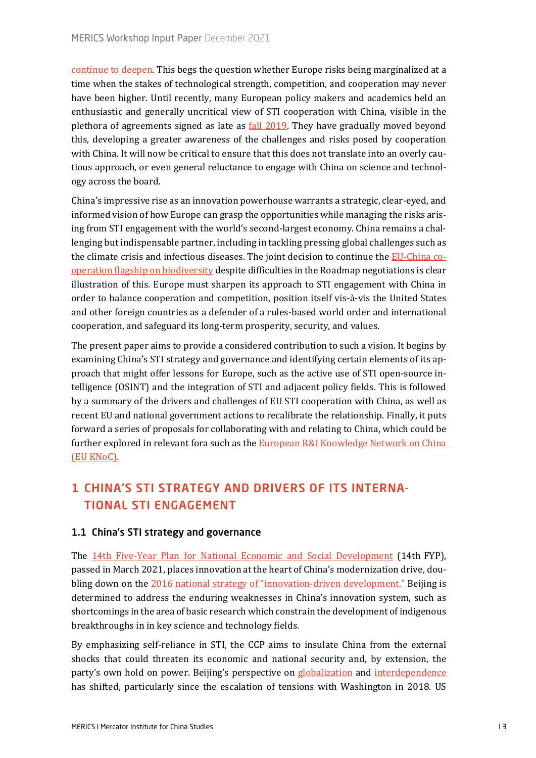[continue](https://www.tandfonline.com/doi/full/10.1080/00221546.2020.1827924) to [deepen](https://www.brookings.edu/blog/order-from-chaos/2021/08/12/the-new-normal-in-us-china-relations-hardening-competition-and-deep-interdependence/). This begs the question whether Europe risks being marginalized at a time when the stakes of technological strength, competition, and cooperation may never have been higher. Until recently, many European policy makers and academics held an enthusiastic and generally uncritical view of STI cooperation with China, visible in the plethora of agreements signed as late as [fall 2019.](https://www.bundesregierung.de/breg-de/suche/merkel-besucht-china-1667802) They have gradually moved beyond this, developing a greater awareness of the challenges and risks posed by cooperation with China. It will now be critical to ensure that this does not translate into an overly cautious approach, or even general reluctance to engage with China on science and technology across the board.

China's impressive rise as an innovation powerhouse warrants a strategic, clear-eyed, and informed vision of how Europe can grasp the opportunities while managing the risks arising from STI engagement with the world's second-largest economy. China remains a challenging but indispensable partner, including in tackling pressing global challenges such as the climate crisis and infectious diseases. The joint decision to continue the EU[-China co](https://ec.europa.eu/info/funding-tenders/opportunities/portal/screen/opportunities/topic-details/horizon-cl6-2021-farm2fork-01-19)[operation flagship on biodiversity](https://ec.europa.eu/info/funding-tenders/opportunities/portal/screen/opportunities/topic-details/horizon-cl6-2021-farm2fork-01-19) despite difficulties in the Roadmap negotiations is clear illustration of this. Europe must sharpen its approach to STI engagement with China in order to balance cooperation and competition, position itself vis-à-vis the United States and other foreign countries as a defender of a rules-based world order and international cooperation, and safeguard its long-term prosperity, security, and values.

The present paper aims to provide a considered contribution to such a vision. It begins by examining China's STI strategy and governance and identifying certain elements of its approach that might offer lessons for Europe, such as the active use of STI open-source intelligence (OSINT) and the integration of STI and adjacent policy fields. This is followed by a summary of the drivers and challenges of EU STI cooperation with China, as well as recent EU and national government actions to recalibrate the relationship. Finally, it puts forward a series of proposals for collaborating with and relating to China, which could be further explored in relevant fora such as the European R&I Knowledge Network on China [\(EU KNoC\).](https://data.consilium.europa.eu/doc/document/ST-1204-2021-INIT/en/pdf)

# 1 CHINA'S STI STRATEGY AND DRIVERS OF ITS INTERNA-TIONAL STI ENGAGEMENT

# 1.1 China's STI strategy and governance

The 14th Five-[Year Plan for National Economic and Social Development](https://cset.georgetown.edu/publication/china-14th-five-year-plan/) (14th FYP), passed in March 2021, places innovation at the heart of China's modernization drive, doubling down on the [2016 national strategy of "innovation](https://cset.georgetown.edu/publication/outline-of-the-national-innovation-driven-development-strategy/)-driven development." Beijing is determined to address the enduring weaknesses in China's innovation system, such as shortcomings in the area of basic research which constrain the development of indigenous breakthroughs in in key science and technology fields.

By emphasizing self-reliance in STI, the CCP aims to insulate China from the external shocks that could threaten its economic and national security and, by extension, the party's own hold on power. Beijing's perspective on [globaliz](https://merics.org/en/report/course-correction-chinas-shifting-approach-economic-globalization)ation and [interdependence](https://www.prcleader.org/gewirtz) has shifted, particularly since the escalation of tensions with Washington in 2018. US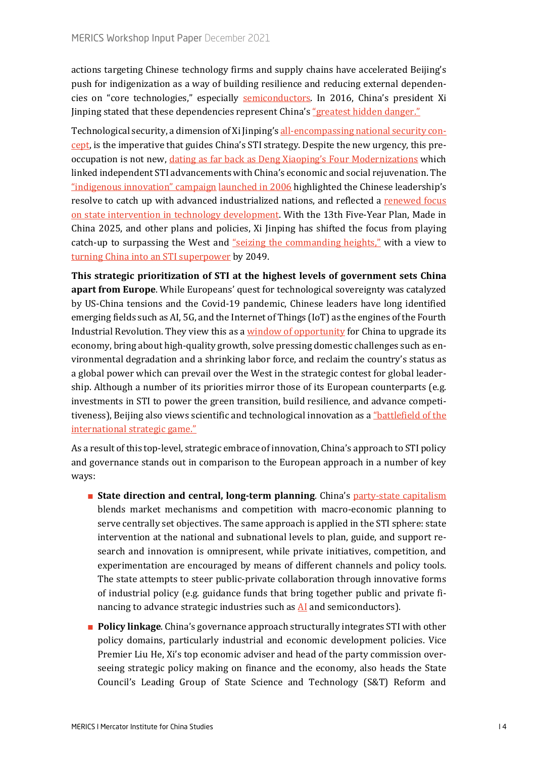actions targeting Chinese technology firms and supply chains have accelerated Beijing's push for indigenization as a way of building resilience and reducing external dependencies on "core technologies," especially [semiconductors](https://merics.org/en/report/mapping-chinas-semiconductor-ecosystem-global-context-strategic-dimensions-and-conclusions). In 2016, China's president Xi Jinping stated that these dependencies represent China's ["greatest hidden danger."](https://chinacopyrightandmedia.wordpress.com/2016/04/19/speech-at-the-work-conference-for-cybersecurity-and-informatization/)

Technological security, a dimension of Xi Jinping's all-[encompassing national security con](https://merics.org/en/chinas-new-international-paradigm-security-first)[cept](https://merics.org/en/chinas-new-international-paradigm-security-first), is the imperative that guides China's STI strategy. Despite the new urgency, this preoccupation is not new, [dating as far back as Deng Xiaoping's Four Modernizations](http://www.xinhuanet.com/politics/2020-09/11/c_1126483997.htm) which linked independent STI advancements with China's economic and social rejuvenation. The ["indigenous innovation" campaign](https://www.uschamber.com/sites/default/files/documents/files/100728chinareport_0_0.pdf) [launched in 2006](https://www.jstor.org/stable/24904610) highlighted the Chinese leadership's resolve to catch up with advanced industrialized nations, and reflected a renewed focus [on state intervention in technology development.](https://ideas.repec.org/a/eee/respol/v45y2016i10p2138-2152.html) With the 13th Five-Year Plan, Made in China 2025, and other plans and policies, Xi Jinping has shifted the focus from playing catch-up to surpassing the West and ["seizing the commanding heights,"](http://www.xinhuanet.com/politics/leaders/2018-05/28/c_1122901308.htm) with a view to [turning China into an STI superpower](http://www.qstheory.cn/dukan/qs/2021-03/15/c_1127209130.htm) by 2049.

**This strategic prioritization of STI at the highest levels of government sets China apart from Europe**. While Europeans' quest for technological sovereignty was catalyzed by US-China tensions and the Covid-19 pandemic, Chinese leaders have long identified emerging fields such as AI, 5G, and the Internet of Things (IoT) as the engines of the Fourth Industrial Revolution. They view this as a [window of opportunity](https://www.brookings.edu/testimonies/the-united-states-china-and-the-contest-for-the-fourth-industrial-revolution/#footnote-9) for China to upgrade its economy, bring about high-quality growth, solve pressing domestic challenges such as environmental degradation and a shrinking labor force, and reclaim the country's status as a global power which can prevail over the West in the strategic contest for global leadership. Although a number of its priorities mirror those of its European counterparts (e.g. investments in STI to power the green transition, build resilience, and advance competitiveness), Beijing also views scientific and technological innovation as a "battlefield of the [international strategic game."](http://paper.people.com.cn/rmrb/html/2021-05/29/nw.D110000renmrb_20210529_1-02.htm)

As a result of this top-level, strategic embrace of innovation, China's approach to STI policy and governance stands out in comparison to the European approach in a number of key ways:

- **State direction and central, long-term planning**. China's party-[state capitalism](https://merics.org/en/party-state-capitalism-under-xi-integrating-political-control-and-economic-efficiency) blends market mechanisms and competition with macro-economic planning to serve centrally set objectives. The same approach is applied in the STI sphere: state intervention at the national and subnational levels to plan, guide, and support research and innovation is omnipresent, while private initiatives, competition, and experimentation are encouraged by means of different channels and policy tools. The state attempts to steer public-private collaboration through innovative forms of industrial policy (e.g. guidance funds that bring together public and private financing to advance strategic industries such as  $AI$  and semiconductors).
- **Policy linkage**. China's governance approach structurally integrates STI with other policy domains, particularly industrial and economic development policies. Vice Premier Liu He, Xi's top economic adviser and head of the party commission overseeing strategic policy making on finance and the economy, also heads the State Council's Leading Group of State Science and Technology (S&T) Reform and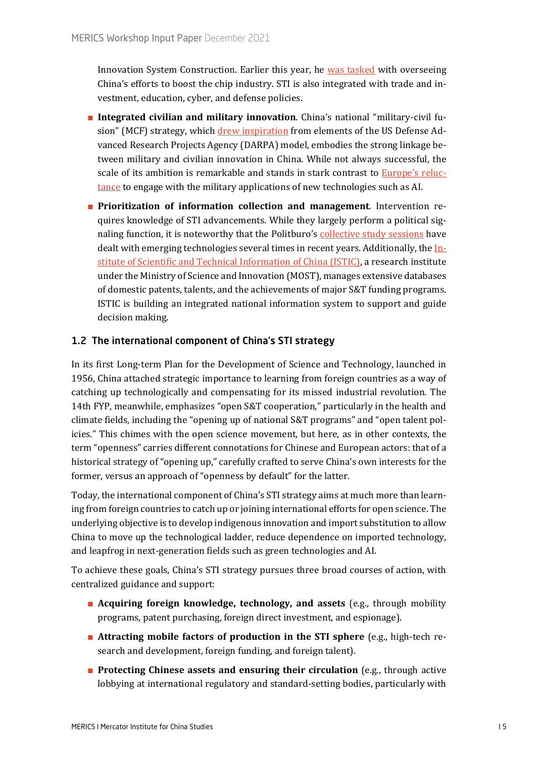Innovation System Construction. Earlier this year, he [was tasked](https://www.bloomberg.com/news/articles/2021-06-17/xi-taps-top-lieutenant-to-lead-china-s-chip-battle-against-u-s) with overseeing China's efforts to boost the chip industry. STI is also integrated with trade and investment, education, cyber, and defense policies.

- **Integrated civilian and military innovation**. China's national "military-civil fusion" (MCF) strategy, which [drew inspiration](https://thestrategybridge.org/the-bridge/2019/8/27/in-military-civil-fusion-china-is-learning-lessons-from-the-united-states-and-starting-to-innovate) from elements of the US Defense Advanced Research Projects Agency (DARPA) model, embodies the strong linkage between military and civilian innovation in China. While not always successful, the scale of its ambition is remarkable and stands in stark contrast to [Europe's reluc](https://ecfr.eu/publication/not_smart_enough_poverty_european_military_thinking_artificial_intelligence/)[tance](https://ecfr.eu/publication/not_smart_enough_poverty_european_military_thinking_artificial_intelligence/) to engage with the military applications of new technologies such as AI.
- **Prioritization of information collection and management**. Intervention requires knowledge of STI advancements. While they largely perform a political signaling function, it is noteworthy that the Politburo'[s collective study sessions](https://merics.org/en/short-analysis/xis-worrying-tech-curriculum) have dealt with emerging technologies several times in recent years. Additionally, the [In](https://www.istic.ac.cn/)[stitute of Scientific and Technical Information of China \(ISTIC\),](https://www.istic.ac.cn/) a research institute under the Ministry of Science and Innovation (MOST), manages extensive databases of domestic patents, talents, and the achievements of major S&T funding programs. ISTIC is building an integrated national information system to support and guide decision making.

# 1.2 The international component of China's STI strategy

In its first Long-term Plan for the Development of Science and Technology, launched in 1956, China attached strategic importance to learning from foreign countries as a way of catching up technologically and compensating for its missed industrial revolution. The 14th FYP, meanwhile, emphasizes "open S&T cooperation," particularly in the health and climate fields, including the "opening up of national S&T programs" and "open talent policies." This chimes with the open science movement, but here, as in other contexts, the term "openness" carries different connotations for Chinese and European actors: that of a historical strategy of "opening up," carefully crafted to serve China's own interests for the former, versus an approach of "openness by default" for the latter.

Today, the international component of China's STI strategy aims at much more than learning from foreign countries to catch up or joining international efforts for open science. The underlying objective is to develop indigenous innovation and import substitution to allow China to move up the technological ladder, reduce dependence on imported technology, and leapfrog in next-generation fields such as green technologies and AI.

To achieve these goals, China's STI strategy pursues three broad courses of action, with centralized guidance and support:

- **Acquiring foreign knowledge, technology, and assets** (e.g., through mobility programs, patent purchasing, foreign direct investment, and espionage).
- **Attracting mobile factors of production in the STI sphere** (e.g., high-tech research and development, foreign funding, and foreign talent).
- **Protecting Chinese assets and ensuring their circulation** (e.g., through active lobbying at international regulatory and standard-setting bodies, particularly with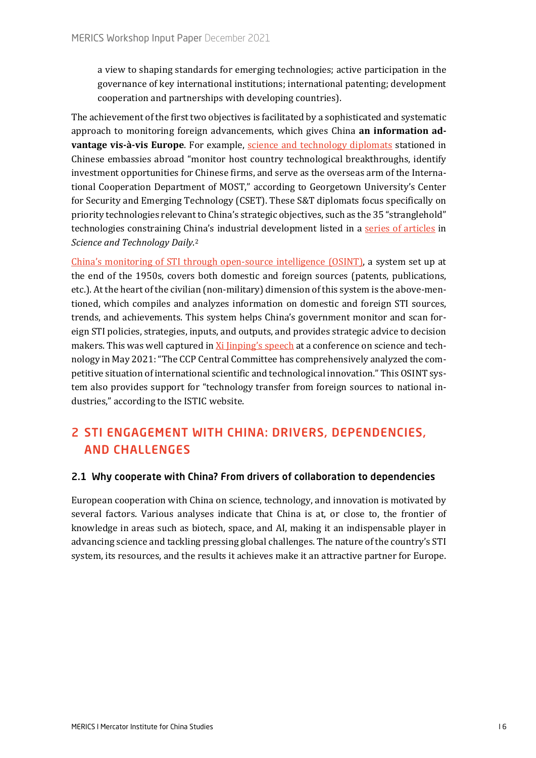a view to shaping standards for emerging technologies; active participation in the governance of key international institutions; international patenting; development cooperation and partnerships with developing countries).

The achievement of the first two objectives is facilitated by a sophisticated and systematic approach to monitoring foreign advancements, which gives China **an information advantage vis-à-vis Europe**. For example, s[cience and technology diplomats](https://cset.georgetown.edu/wp-content/uploads/CSET-Chinas-Foreign-Technology-Wish-List.pdf) stationed in Chinese embassies abroad "monitor host country technological breakthroughs, identify investment opportunities for Chinese firms, and serve as the overseas arm of the International Cooperation Department of MOST," according to Georgetown University's Center for Security and Emerging Technology (CSET). These S&T diplomats focus specifically on priority technologies relevant to China's strategic objectives, such as the 35 "stranglehold" technologies constraining China's industrial development listed in a [series of articles](https://archive.is/1y59j) in *Science and Technology Daily*.[2](#page-22-1)

[China's monitoring of STI through open](https://cset.georgetown.edu/wp-content/uploads/CSET-Chinas-STI-Operations.pdf)-source intelligence (OSINT), a system set up at the end of the 1950s, covers both domestic and foreign sources (patents, publications, etc.). At the heart of the civilian (non-military) dimension of this system is the above-mentioned, which compiles and analyzes information on domestic and foreign STI sources, trends, and achievements. This system helps China's government monitor and scan foreign STI policies, strategies, inputs, and outputs, and provides strategic advice to decision makers. This was well captured in [Xi Jinping's speech](http://www.xinhuanet.com/politics/2021-05/28/c_1127505377.htm) at a conference on science and technology in May 2021: "The CCP Central Committee has comprehensively analyzed the competitive situation of international scientific and technological innovation." This OSINT system also provides support for "technology transfer from foreign sources to national industries," according to the ISTIC website.

# 2 STI ENGAGEMENT WITH CHINA: DRIVERS, DEPENDENCIES, AND CHALLENGES

#### 2.1 Why cooperate with China? From drivers of collaboration to dependencies

European cooperation with China on science, technology, and innovation is motivated by several factors. Various analyses indicate that China is at, or close to, the frontier of knowledge in areas such as biotech, space, and AI, making it an indispensable player in advancing science and tackling pressing global challenges. The nature of the country's STI system, its resources, and the results it achieves make it an attractive partner for Europe.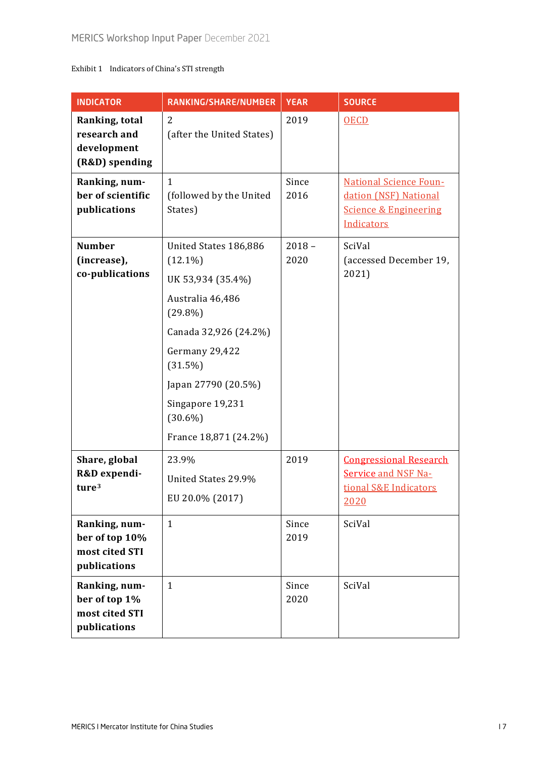## Exhibit 1 Indicators of China's STI strength

| <b>INDICATOR</b>                                                    | RANKING/SHARE/NUMBER                                                                                                                                                                                                               | <b>YEAR</b>      | <b>SOURCE</b>                                                                                            |
|---------------------------------------------------------------------|------------------------------------------------------------------------------------------------------------------------------------------------------------------------------------------------------------------------------------|------------------|----------------------------------------------------------------------------------------------------------|
| Ranking, total<br>research and<br>development<br>(R&D) spending     | 2<br>(after the United States)                                                                                                                                                                                                     | 2019             | <b>OECD</b>                                                                                              |
| Ranking, num-<br>ber of scientific<br>publications                  | $\mathbf{1}$<br>(followed by the United<br>States)                                                                                                                                                                                 | Since<br>2016    | <b>National Science Foun-</b><br>dation (NSF) National<br><b>Science &amp; Engineering</b><br>Indicators |
| <b>Number</b><br>(increase),<br>co-publications                     | United States 186,886<br>$(12.1\%)$<br>UK 53,934 (35.4%)<br>Australia 46,486<br>$(29.8\%)$<br>Canada 32,926 (24.2%)<br>Germany 29,422<br>(31.5%)<br>Japan 27790 (20.5%)<br>Singapore 19,231<br>$(30.6\%)$<br>France 18,871 (24.2%) | $2018 -$<br>2020 | SciVal<br>(accessed December 19,<br>2021)                                                                |
| Share, global<br>R&D expendi-<br>ture <sup>3</sup><br>Ranking, num- | 23.9%<br>United States 29.9%<br>EU 20.0% (2017)<br>$\mathbf{1}$                                                                                                                                                                    | 2019<br>Since    | <b>Congressional Research</b><br><b>Service and NSF Na-</b><br>tional S&E Indicators<br>2020<br>SciVal   |
| ber of top 10%<br>most cited STI<br>publications                    |                                                                                                                                                                                                                                    | 2019             |                                                                                                          |
| Ranking, num-<br>ber of top 1%<br>most cited STI<br>publications    | $\mathbf{1}$                                                                                                                                                                                                                       | Since<br>2020    | SciVal                                                                                                   |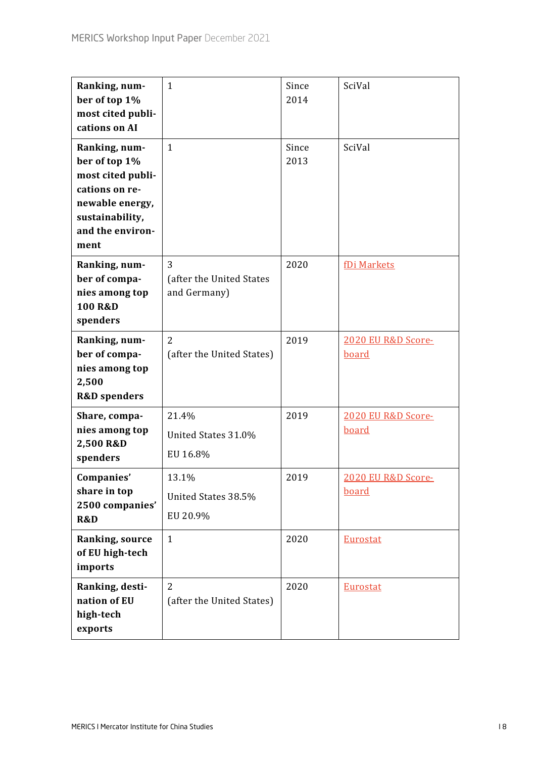| Ranking, num-<br>ber of top 1%<br>most cited publi-<br>cations on AI                                                                    | $\mathbf{1}$                                  | Since<br>2014 | SciVal                             |
|-----------------------------------------------------------------------------------------------------------------------------------------|-----------------------------------------------|---------------|------------------------------------|
| Ranking, num-<br>ber of top 1%<br>most cited publi-<br>cations on re-<br>newable energy,<br>sustainability,<br>and the environ-<br>ment | $\mathbf{1}$                                  | Since<br>2013 | SciVal                             |
| Ranking, num-<br>ber of compa-<br>nies among top<br>100 R&D<br>spenders                                                                 | 3<br>(after the United States<br>and Germany) | 2020          | fDi Markets                        |
| Ranking, num-<br>ber of compa-<br>nies among top<br>2,500<br><b>R&amp;D</b> spenders                                                    | $\overline{2}$<br>(after the United States)   | 2019          | 2020 EU R&D Score-<br><b>board</b> |
| Share, compa-<br>nies among top<br>2,500 R&D<br>spenders                                                                                | 21.4%<br>United States 31.0%<br>EU 16.8%      | 2019          | 2020 EU R&D Score-<br><b>board</b> |
| Companies'<br>share in top<br>2500 companies'<br>R&D                                                                                    | 13.1%<br>United States 38.5%<br>EU 20.9%      | 2019          | 2020 EU R&D Score-<br>board        |
| Ranking, source<br>of EU high-tech<br>imports                                                                                           | $\mathbf{1}$                                  | 2020          | <b>Eurostat</b>                    |
| Ranking, desti-<br>nation of EU<br>high-tech<br>exports                                                                                 | $\overline{2}$<br>(after the United States)   | 2020          | <b>Eurostat</b>                    |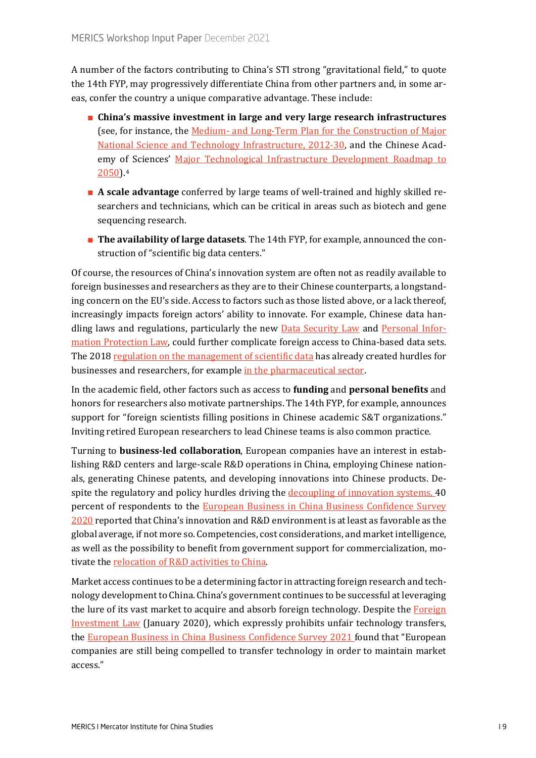A number of the factors contributing to China's STI strong "gravitational field," to quote the 14th FYP, may progressively differentiate China from other partners and, in some areas, confer the country a unique comparative advantage. These include:

- **China's massive investment in large and very large research infrastructures** (see, for instance, the Medium- and Long-[Term Plan for the Construction of Major](http://www.gov.cn/zhengce/content/2013-03/04/content_5176.htm)  [National Science and Technology Infrastructure, 2012](http://www.gov.cn/zhengce/content/2013-03/04/content_5176.htm)-30, and the Chinese Academy of Sciences' [Major Technological Infrastructure Development Roadmap to](http://www.bdp.cas.cn/zlyjjwqgl/ptcg/201608/t20160830_4573027.htm)  [2050\)](http://www.bdp.cas.cn/zlyjjwqgl/ptcg/201608/t20160830_4573027.htm).[4](#page-22-3)
- **A scale advantage** conferred by large teams of well-trained and highly skilled researchers and technicians, which can be critical in areas such as biotech and gene sequencing research.
- **The availability of large datasets**. The 14th FYP, for example, announced the construction of "scientific big data centers."

Of course, the resources of China's innovation system are often not as readily available to foreign businesses and researchers as they are to their Chinese counterparts, a longstanding concern on the EU's side. Access to factors such as those listed above, or a lack thereof, increasingly impacts foreign actors' ability to innovate. For example, Chinese data handling laws and regulations, particularly the new **Data Security Law and [Personal Infor](http://www.npc.gov.cn/npc/c30834/202108/a8c4e3672c74491a80b53a172bb753fe.shtml)**[mation Protection Law,](http://www.npc.gov.cn/npc/c30834/202108/a8c4e3672c74491a80b53a172bb753fe.shtml) could further complicate foreign access to China-based data sets. The 2018 [regulation on the management of scientific data](http://www.gov.cn/zhengce/content/2018-04/02/content_5279272.htm) has already created hurdles for businesses and researchers, for example [in the pharmaceutical sector.](https://merics.org/sites/default/files/2021-01/Decoupling_EN.pdf)

In the academic field, other factors such as access to **funding** and **personal benefits** and honors for researchers also motivate partnerships. The 14th FYP, for example, announces support for "foreign scientists filling positions in Chinese academic S&T organizations." Inviting retired European researchers to lead Chinese teams is also common practice.

Turning to **business-led collaboration**, European companies have an interest in establishing R&D centers and large-scale R&D operations in China, employing Chinese nationals, generating Chinese patents, and developing innovations into Chinese products. Despite the regulatory and policy hurdles driving the [decoupling of innovation systems,](https://merics.org/sites/default/files/2021-01/Decoupling_EN.pdf) 40 percent of respondents to the **European Business in China Business Confidence Survey** [2020](https://www.europeanchamber.com.cn/en/publications-position-paper) reported that China's innovation and R&D environment is at least as favorable as the global average, if not more so. Competencies, cost considerations, and market intelligence, as well as the possibility to benefit from government support for commercialization, motivate the [relocation of R&D activities](https://www.europeanchamber.com.cn/en/publications-archive/864/_European_Business_in_China_Position_Paper_2020_2021) to China.

Market access continues to be a determining factor in attracting foreign research and technology development to China. China's government continues to be successful at leveraging the lure of its vast market to acquire and absorb foreign technology. Despite the [Foreign](https://en.ndrc.gov.cn/policies/202105/t20210527_1281403.html)  [Investment Law](https://en.ndrc.gov.cn/policies/202105/t20210527_1281403.html) (January 2020), which expressly prohibits unfair technology transfers, the [European Business in China Business Confidence](https://www.europeanchamber.com.cn/en/publications-business-confidence-survey) Survey 2021 found that "European companies are still being compelled to transfer technology in order to maintain market access."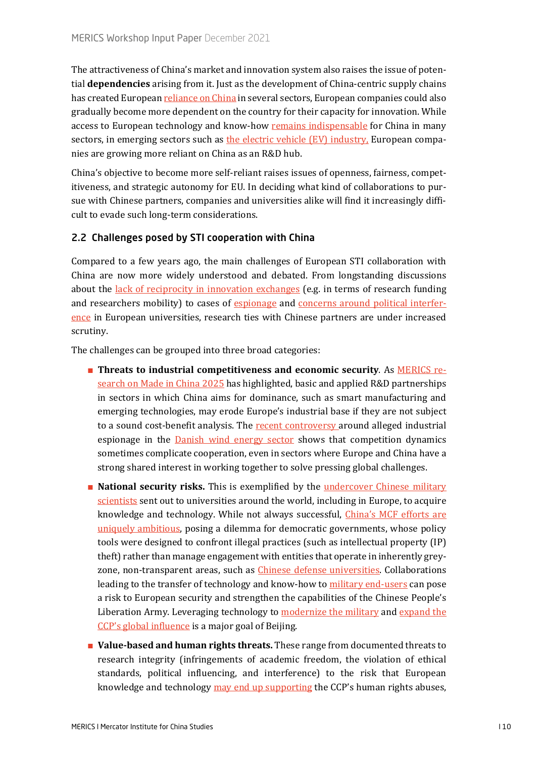The attractiveness of China's market and innovation system also raises the issue of potential **dependencies** arising from it. Just as the development of China-centric supply chains has created European [reliance on China](https://www.reuters.com/world/china/eu-unveils-plan-cut-dependency-china-others-2021-05-05/) in several sectors, European companies could also gradually become more dependent on the country for their capacity for innovation. While access to European technology and know-how [remains indispensable](https://merics.org/en/report/mapping-and-recalibrating-europes-economic-interdependence-china) for China in many sectors, in emerging sectors such as [the electric vehicle \(EV\) industry,](https://merics.org/en/opinion/european-carmakers-fuel-chinese-innovation) European companies are growing more reliant on China as an R&D hub.

China's objective to become more self-reliant raises issues of openness, fairness, competitiveness, and strategic autonomy for EU. In deciding what kind of collaborations to pursue with Chinese partners, companies and universities alike will find it increasingly difficult to evade such long-term considerations.

## 2.2 Challenges posed by STI cooperation with China

Compared to a few years ago, the main challenges of European STI collaboration with China are now more widely understood and debated. From longstanding discussions about the [lack of reciprocity in innovation exchanges](https://sciencebusiness.net/international-news/viewpoint-china-challenging-essential-eu-research-partner) (e.g. in terms of research funding and researchers mobility) to cases of [espionage](https://news.err.ee/1608148489/court-sentences-estonian-marine-scientist-to-prison-for-spying-for-china) and [concerns around political interfer](https://www.theguardian.com/education/2019/nov/05/alarming-chinese-meddling-at-uk-universities-exposed-in-report)[ence](https://www.theguardian.com/education/2019/nov/05/alarming-chinese-meddling-at-uk-universities-exposed-in-report) in European universities, research ties with Chinese partners are under increased scrutiny.

The challenges can be grouped into three broad categories:

- **Threats to industrial competitiveness and economic security**. As [MERICS re](https://merics.org/sites/default/files/2020-04/MPOC_8_MadeinChina_2025_final_3.pdf)[search on Made in China 2025](https://merics.org/sites/default/files/2020-04/MPOC_8_MadeinChina_2025_final_3.pdf) has highlighted, basic and applied R&D partnerships in sectors in which China aims for dominance, such as smart manufacturing and emerging technologies, may erode Europe's industrial base if they are not subject to a sound cost-benefit analysis. The [recent controversy](https://politiken.dk/indland/art8186973/Kina-hyrer-vindm%C3%B8lleforskere-via-talentprogram-som-bliver-mist%C3%A6nkt-for-industrispionage) around alleged industrial espionage in the [Danish wind energy sector](https://www.thewirechina.com/2021/08/29/wind-wars/) shows that competition dynamics sometimes complicate cooperation, even in sectors where Europe and China have a strong shared interest in working together to solve pressing global challenges.
- **National security risks.** This is exemplified by the <u>undercover Chinese military</u> [scientists](https://www.aspi.org.au/report/picking-flowers-making-honey) sent out to universities around the world, including in Europe, to acquire knowledge and technology. While not always successful, [China's MCF efforts are](https://foreignpolicy.com/2021/02/05/dont-underestimate-chinas-military-civil-fusion-efforts/)  [uniquely ambitious,](https://foreignpolicy.com/2021/02/05/dont-underestimate-chinas-military-civil-fusion-efforts/) posing a dilemma for democratic governments, whose policy tools were designed to confront illegal practices (such as intellectual property (IP) theft) rather than manage engagement with entities that operate in inherently greyzone, non-transparent areas, such as [Chinese defense universities.](https://www.aspi.org.au/report/china-defence-universities-tracker) Collaborations leading to the transfer of technology and know-how to [military end](https://www.reuters.com/world/exclusive-monkey-brain-study-with-link-chinas-military-roils-top-european-2021-11-18/)-users can pose a risk to European security and strengthen the capabilities of the Chinese People's Liberation Army. Leveraging technology to [modernize the military](https://www.uscc.gov/sites/default/files/June%207%20Hearing_Panel%201_Elsa%20Kania_Chinese%20Military%20Innovation%20in%20Artificial%20Intelligence_0.pdf) and [expand the](https://www.ned.org/wp-content/uploads/2021/04/Double-Edged-Sword-Chinas-Sharp-Power-Exploitation-of-Emerging-Technologies-Hoffman-April-2021.pdf)  [CCP's global influence](https://www.ned.org/wp-content/uploads/2021/04/Double-Edged-Sword-Chinas-Sharp-Power-Exploitation-of-Emerging-Technologies-Hoffman-April-2021.pdf) is a major goal of Beijing.
- **Value-based and human rights threats.** These range from documented threats to research integrity (infringements of academic freedom, the violation of ethical standards, political influencing, and interference) to the risk that European knowledge and technology [may end up supporting](https://nltimes.nl/2021/10/06/netherlands-working-china-dna-research-experts-concerned) the CCP's human rights abuses,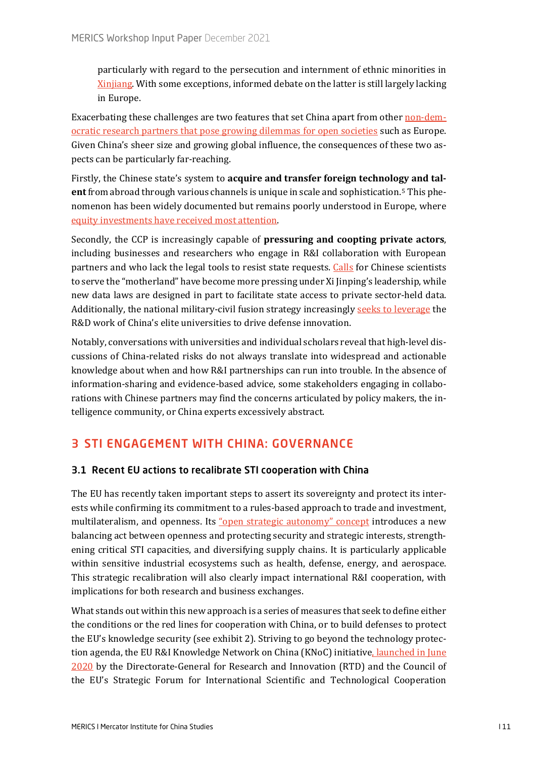particularly with regard to the persecution and internment of ethnic minorities in [Xinjiang](https://nltimes.nl/2021/10/06/netherlands-working-china-dna-research-experts-concerned). With some exceptions, informed debate on the latter is still largely lacking in Europe.

Exacerbating these challenges are two features that set China apart from other [non-dem](https://www.gppi.net/media/GPPi_Baykal_Benner_2020_Risky_Business_final.pdf)[ocratic research partners that pose growing dilemmas for open societies](https://www.gppi.net/media/GPPi_Baykal_Benner_2020_Risky_Business_final.pdf) such as Europe. Given China's sheer size and growing global influence, the consequences of these two aspects can be particularly far-reaching.

Firstly, the Chinese state's system to **acquire and transfer foreign technology and talent**from abroad through various channels is unique in scale and sophistication.[5](#page-22-4) This phenomenon has been widely documented but remains poorly understood in Europe, where [equity investments have received most attention.](https://merics.org/sites/default/files/2020-05/MERICSRhodium%20GroupCOFDIUpdate2020.pdf)

Secondly, the CCP is increasingly capable of **pressuring and coopting private actors**, including businesses and researchers who engage in R&I collaboration with European partners and who lack the legal tools to resist state requests. [Calls](http://www.xinhuanet.com/politics/2020-09/11/c_1126483997.htm) for Chinese scientists to serve the "motherland" have become more pressing under Xi Jinping's leadership, while new data laws are designed in part to facilitate state access to private sector-held data. Additionally, the national military-civil fusion strategy increasingly [seeks to leverage](https://www.aspistrategist.org.au/how-chinas-military-civil-fusion-policy-ties-into-its-push-for-world-class-universities/) the R&D work of China's elite universities to drive defense innovation.

Notably, conversations with universities and individual scholars reveal that high-level discussions of China-related risks do not always translate into widespread and actionable knowledge about when and how R&I partnerships can run into trouble. In the absence of information-sharing and evidence-based advice, some stakeholders engaging in collaborations with Chinese partners may find the concerns articulated by policy makers, the intelligence community, or China experts excessively abstract.

# 3 STI ENGAGEMENT WITH CHINA: GOVERNANCE

# 3.1 Recent EU actions to recalibrate STI cooperation with China

The EU has recently taken important steps to assert its sovereignty and protect its interests while confirming its commitment to a rules-based approach to trade and investment, multilateralism, and openness. Its ["open strategic autonomy" concept](https://www.robert-schuman.eu/en/european-issues/0582-europe-as-a-power-european-sovereignty-strategic-autonomy-a-debate-that-is-moving-towards-an) introduces a new balancing act between openness and protecting security and strategic interests, strengthening critical STI capacities, and diversifying supply chains. It is particularly applicable within sensitive industrial ecosystems such as health, defense, energy, and aerospace. This strategic recalibration will also clearly impact international R&I cooperation, with implications for both research and business exchanges.

What stands out within this new approach is a series of measures that seek to define either the conditions or the red lines for cooperation with China, or to build defenses to protect the EU's knowledge security (see exhibit 2). Striving to go beyond the technology protection agenda, the EU R&I Knowledge Network on China (KNoC) initiative, launched in June [2020](https://data.consilium.europa.eu/doc/document/ST-1204-2021-INIT/en/pdf) by the Directorate-General for Research and Innovation (RTD) and the Council of the EU's Strategic Forum for International Scientific and Technological Cooperation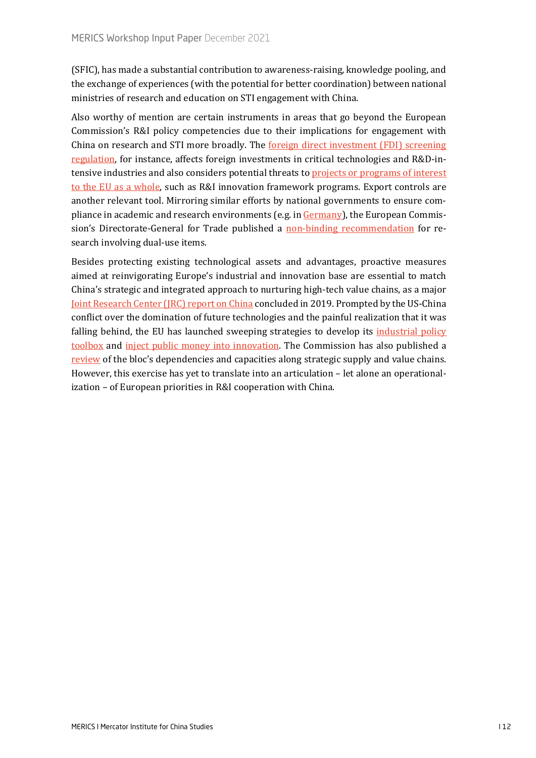(SFIC), has made a substantial contribution to awareness-raising, knowledge pooling, and the exchange of experiences (with the potential for better coordination) between national ministries of research and education on STI engagement with China.

Also worthy of mention are certain instruments in areas that go beyond the European Commission's R&I policy competencies due to their implications for engagement with China on research and STI more broadly. The [foreign direct investment \(FDI\) screening](https://eur-lex.europa.eu/legal-content/EN/TXT/PDF/?uri=CELEX:02019R0452-20200919&from=EN)  [regulation,](https://eur-lex.europa.eu/legal-content/EN/TXT/PDF/?uri=CELEX:02019R0452-20200919&from=EN) for instance, affects foreign investments in critical technologies and R&D-intensive industries and also considers potential threats to projects or programs of interest [to the EU as a whole,](https://eur-lex.europa.eu/legal-content/EN/TXT/PDF/?uri=CELEX:32020R1298&from=EN) such as R&I innovation framework programs. Export controls are another relevant tool. Mirroring similar efforts by national governments to ensure compliance in academic and research environments (e.g. i[n Germany\)](https://www.bafa.de/SharedDocs/Downloads/EN/Foreign_Trade/ec_awareness_academia.pdf?__blob=publicationFile&v=5), the European Commission's Directorate-General for Trade published a [non-binding recommendation](https://eur-lex.europa.eu/legal-content/EN/TXT/?uri=CELEX:32021H1700) for research involving dual-use items.

Besides protecting existing technological assets and advantages, proactive measures aimed at reinvigorating Europe's industrial and innovation base are essential to match China's strategic and integrated approach to nurturing high-tech value chains, as a major [Joint Research Center \(JRC\) report on China](https://publications.jrc.ec.europa.eu/repository/handle/JRC116516) concluded in 2019. Prompted by the US-China conflict over the domination of future technologies and the painful realization that it was falling behind, the EU has launched sweeping strategies to develop its industrial policy [toolbox](https://ec.europa.eu/growth/industry/strategy_en) and [inject public money into innovation.](https://ec.europa.eu/info/research-and-innovation/funding/funding-opportunities/funding-programmes-and-open-calls/horizon-europe_en) The Commission has also published a [review](https://ec.europa.eu/info/sites/default/files/swd-strategic-dependencies-capacities_en.pdf) of the bloc's dependencies and capacities along strategic supply and value chains. However, this exercise has yet to translate into an articulation – let alone an operationalization – of European priorities in R&I cooperation with China.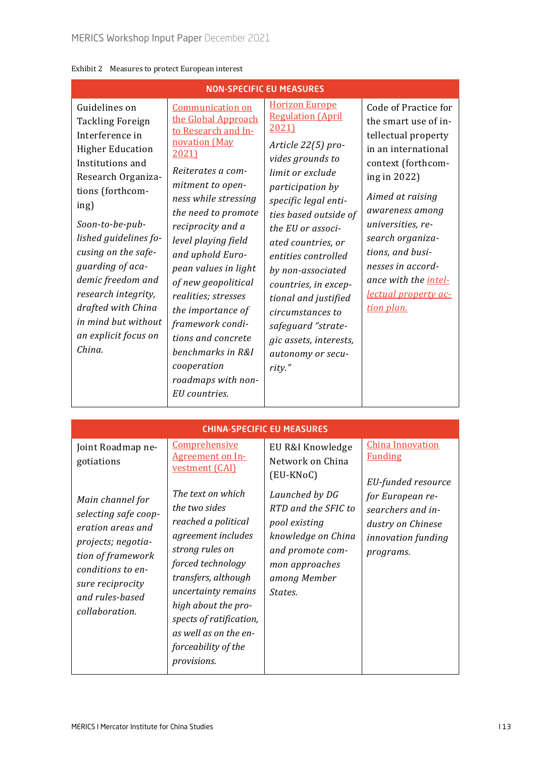| <b>NON-SPECIFIC EU MEASURES</b>                                                                                                                                                                                                                                                                                                                                                |                                                                                                                                                                                                                                                                                                                                                                                                                                                                         |                                                                                                                                                                                                                                                                                                                                                                                                                                         |                                                                                                                                                                                                                                                                                                                                       |  |  |  |
|--------------------------------------------------------------------------------------------------------------------------------------------------------------------------------------------------------------------------------------------------------------------------------------------------------------------------------------------------------------------------------|-------------------------------------------------------------------------------------------------------------------------------------------------------------------------------------------------------------------------------------------------------------------------------------------------------------------------------------------------------------------------------------------------------------------------------------------------------------------------|-----------------------------------------------------------------------------------------------------------------------------------------------------------------------------------------------------------------------------------------------------------------------------------------------------------------------------------------------------------------------------------------------------------------------------------------|---------------------------------------------------------------------------------------------------------------------------------------------------------------------------------------------------------------------------------------------------------------------------------------------------------------------------------------|--|--|--|
| Guidelines on<br><b>Tackling Foreign</b><br>Interference in<br><b>Higher Education</b><br>Institutions and<br>Research Organiza-<br>tions (forthcom-<br>ing)<br>Soon-to-be-pub-<br>lished guidelines fo-<br>cusing on the safe-<br>guarding of aca-<br>demic freedom and<br>research integrity,<br>drafted with China<br>in mind but without<br>an explicit focus on<br>China. | <b>Communication on</b><br>the Global Approach<br>to Research and In-<br>novation (May<br>2021)<br>Reiterates a com-<br>mitment to open-<br>ness while stressing<br>the need to promote<br>reciprocity and a<br>level playing field<br>and uphold Euro-<br>pean values in light<br>of new geopolitical<br>realities; stresses<br>the importance of<br>framework condi-<br>tions and concrete<br>benchmarks in R&I<br>cooperation<br>roadmaps with non-<br>EU countries. | <b>Horizon Europe</b><br><b>Regulation (April</b><br>2021)<br>Article 22(5) pro-<br>vides grounds to<br>limit or exclude<br>participation by<br>specific legal enti-<br>ties based outside of<br>the EU or associ-<br>ated countries, or<br>entities controlled<br>by non-associated<br>countries, in excep-<br>tional and justified<br>circumstances to<br>safeguard "strate-<br>gic assets, interests,<br>autonomy or secu-<br>rity." | Code of Practice for<br>the smart use of in-<br>tellectual property<br>in an international<br>context (forthcom-<br>ing in 2022)<br>Aimed at raising<br>awareness among<br>universities, re-<br>search organiza-<br>tions, and busi-<br>nesses in accord-<br>ance with the <i>intel-</i><br><u>lectual property ac-</u><br>tion plan. |  |  |  |
| <b>CHINA-SPECIFIC EU MEASURES</b>                                                                                                                                                                                                                                                                                                                                              |                                                                                                                                                                                                                                                                                                                                                                                                                                                                         |                                                                                                                                                                                                                                                                                                                                                                                                                                         |                                                                                                                                                                                                                                                                                                                                       |  |  |  |
| Joint Roadmap ne-                                                                                                                                                                                                                                                                                                                                                              | Comprehensive                                                                                                                                                                                                                                                                                                                                                                                                                                                           | EU R&I Knowledge                                                                                                                                                                                                                                                                                                                                                                                                                        | <b>China Innovation</b>                                                                                                                                                                                                                                                                                                               |  |  |  |

#### Exhibit 2 Measures to protect European interest

| <b>CHINA-SPECIFIC EU MEASURES</b>                                                                                                                                                      |                                                                                                                                                                                                                                                                                        |                                                                                                                                               |                                                                                               |  |  |
|----------------------------------------------------------------------------------------------------------------------------------------------------------------------------------------|----------------------------------------------------------------------------------------------------------------------------------------------------------------------------------------------------------------------------------------------------------------------------------------|-----------------------------------------------------------------------------------------------------------------------------------------------|-----------------------------------------------------------------------------------------------|--|--|
| Joint Roadmap ne-<br>gotiations                                                                                                                                                        | Comprehensive<br><b>Agreement on In-</b><br>vestment (CAI)                                                                                                                                                                                                                             | EU R&I Knowledge<br>Network on China<br>(EU-KNoC)                                                                                             | <b>China Innovation</b><br><b>Funding</b><br>EU-funded resource                               |  |  |
| Main channel for<br>selecting safe coop-<br>eration areas and<br>projects; negotia-<br>tion of framework<br>conditions to en-<br>sure reciprocity<br>and rules-based<br>collaboration. | The text on which<br>the two sides<br>reached a political<br>agreement includes<br>strong rules on<br>forced technology<br>transfers, although<br>uncertainty remains<br>high about the pro-<br>spects of ratification,<br>as well as on the en-<br>forceability of the<br>provisions. | Launched by DG<br>RTD and the SFIC to<br>pool existing<br>knowledge on China<br>and promote com-<br>mon approaches<br>among Member<br>States. | for European re-<br>searchers and in-<br>dustry on Chinese<br>innovation funding<br>programs. |  |  |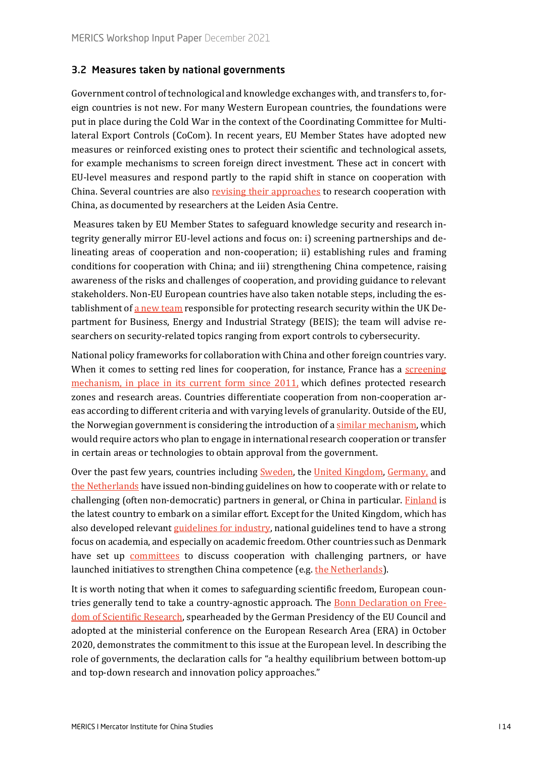#### 3.2 Measures taken by national governments

Government control of technological and knowledge exchanges with, and transfers to, foreign countries is not new. For many Western European countries, the foundations were put in place during the Cold War in the context of the Coordinating Committee for Multilateral Export Controls (CoCom). In recent years, EU Member States have adopted new measures or reinforced existing ones to protect their scientific and technological assets, for example mechanisms to screen foreign direct investment. These act in concert with EU-level measures and respond partly to the rapid shift in stance on cooperation with China. Several countries are also [revising their approaches](https://leidenasiacentre.nl/wp-content/uploads/2020/10/Towards-Sustainable-Europe-China-Collaboration-in-Higher-Education-and-Research.pdf) to research cooperation with China, as documented by researchers at the Leiden Asia Centre.

Measures taken by EU Member States to safeguard knowledge security and research integrity generally mirror EU-level actions and focus on: i) screening partnerships and delineating areas of cooperation and non-cooperation; ii) establishing rules and framing conditions for cooperation with China; and iii) strengthening China competence, raising awareness of the risks and challenges of cooperation, and providing guidance to relevant stakeholders. Non-EU European countries have also taken notable steps, including the establishment of [a new team](https://www.gov.uk/government/news/dedicated-government-team-to-protect-researchers-work-from-hostile-activity) responsible for protecting research security within the UK Department for Business, Energy and Industrial Strategy (BEIS); the team will advise researchers on security-related topics ranging from export controls to cybersecurity.

National policy frameworks for collaboration with China and other foreign countries vary. When it comes to setting red lines for cooperation, for instance, France has a screening [mechanism](http://www.sgdsn.gouv.fr/missions/protection-du-potentiel-scientifique-et-technique-de-la-nation/le-dispositif-de-protection-du-potentiel-scientifique-et-technique-de-la-nation-faq/), in place in its current form since 2011, which defines protected research zones and research areas. Countries differentiate cooperation from non-cooperation areas according to different criteria and with varying levels of granularity. Outside of the EU, the Norwegian government is considering the introduction of a [similar mechanism,](https://www.regjeringen.no/no/dokumenter/meld.-st.-35-20202021/id2860232/?ch=5) which would require actors who plan to engage in international research cooperation or transfer in certain areas or technologies to obtain approval from the government.

Over the past few years, countries including [Sweden](https://www.stint.se/wp-content/uploads/2020/02/STINT__Responsible_Internationalisation.pdf), the [United Kingdom,](https://www.universitiesuk.ac.uk/what-we-do/policy-and-research/publications/managing-risks-internationalisation) [Germany,](https://www.hrk.de/resolutions-publications/resolutions/beschluss/detail/guidelines-and-standards-in-international-university-cooperation/) and [the Netherlands](https://mk0hcssnlsb22xc4fhr7.kinstacdn.com/wp-content/uploads/2021/01/BZ127566-HCSS-Checklist-for-collaboration-with-Chinese-Universities.pdf) have issued non-binding guidelines on how to cooperate with or relate to challenging (often non-democratic) partners in general, or China in particular. [Finland](https://www.euractiv.com/section/politics/short_news/finnish-universities-to-receive-guidelines-on-how-to-deal-with-china/) is the latest country to embark on a similar effort. Except for the United Kingdom, which has also developed relevan[t guidelines for industry,](https://www.cpni.gov.uk/trusted-research) national guidelines tend to have a strong focus on academia, and especially on academic freedom. Other countries such as Denmark have set up **[committees](https://ufm.dk/forskning-og-innovation/rad-og-udvalg/andre-udvalg-og-fonde/udvalg-om-retningslinjer-for-internationalt-forsknings-og-innovationssamarbejde)** to discuss cooperation with challenging partners, or have launched initiatives to strengthen China competence (e.g. [the Netherlands\)](https://www.chinakennisnetwerk.nl/about-ckn).

It is worth noting that when it comes to safeguarding scientific freedom, European countries generally tend to take a country-agnostic approach. The [Bonn Declaration on Free](https://www.humboldt-foundation.de/fileadmin/user_upload/Bonn_Declaration_en_final.pdf)dom of [Scientific Research](https://www.humboldt-foundation.de/fileadmin/user_upload/Bonn_Declaration_en_final.pdf), spearheaded by the German Presidency of the EU Council and adopted at the ministerial conference on the European Research Area (ERA) in October 2020, demonstrates the commitment to this issue at the European level. In describing the role of governments, the declaration calls for "a healthy equilibrium between bottom-up and top-down research and innovation policy approaches."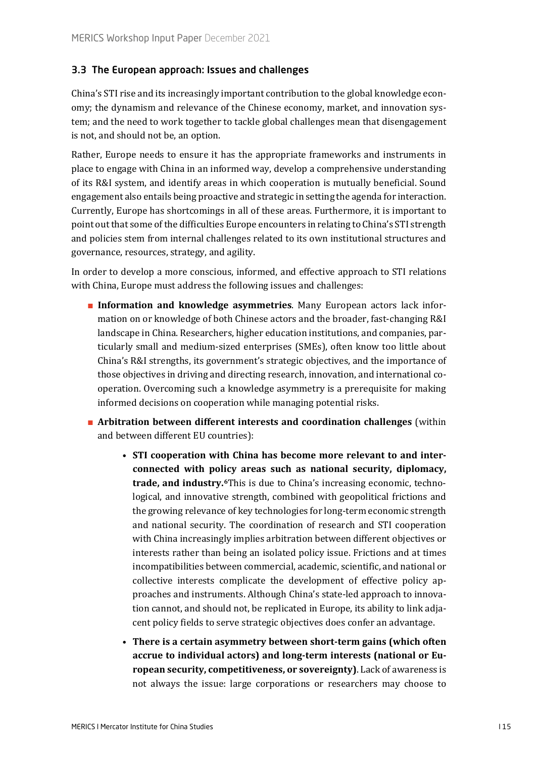#### 3.3 The European approach: Issues and challenges

China's STI rise and its increasingly important contribution to the global knowledge economy; the dynamism and relevance of the Chinese economy, market, and innovation system; and the need to work together to tackle global challenges mean that disengagement is not, and should not be, an option.

Rather, Europe needs to ensure it has the appropriate frameworks and instruments in place to engage with China in an informed way, develop a comprehensive understanding of its R&I system, and identify areas in which cooperation is mutually beneficial. Sound engagement also entails being proactive and strategic in setting the agenda for interaction. Currently, Europe has shortcomings in all of these areas. Furthermore, it is important to point out that some of the difficulties Europe encounters in relating to China's STI strength and policies stem from internal challenges related to its own institutional structures and governance, resources, strategy, and agility.

In order to develop a more conscious, informed, and effective approach to STI relations with China, Europe must address the following issues and challenges:

- **Information and knowledge asymmetries**. Many European actors lack information on or knowledge of both Chinese actors and the broader, fast-changing R&I landscape in China. Researchers, higher education institutions, and companies, particularly small and medium-sized enterprises (SMEs), often know too little about China's R&I strengths, its government's strategic objectives, and the importance of those objectives in driving and directing research, innovation, and international cooperation. Overcoming such a knowledge asymmetry is a prerequisite for making informed decisions on cooperation while managing potential risks.
- **Arbitration between different interests and coordination challenges** (within and between different EU countries):
	- **STI cooperation with China has become more relevant to and interconnected with policy areas such as national security, diplomacy, trade, and industry.[6](#page-22-5)**This is due to China's increasing economic, technological, and innovative strength, combined with geopolitical frictions and the growing relevance of key technologies for long-term economic strength and national security. The coordination of research and STI cooperation with China increasingly implies arbitration between different objectives or interests rather than being an isolated policy issue. Frictions and at times incompatibilities between commercial, academic, scientific, and national or collective interests complicate the development of effective policy approaches and instruments. Although China's state-led approach to innovation cannot, and should not, be replicated in Europe, its ability to link adjacent policy fields to serve strategic objectives does confer an advantage.
	- **There is a certain asymmetry between short-term gains (which often accrue to individual actors) and long-term interests (national or European security, competitiveness, or sovereignty)**. Lack of awareness is not always the issue: large corporations or researchers may choose to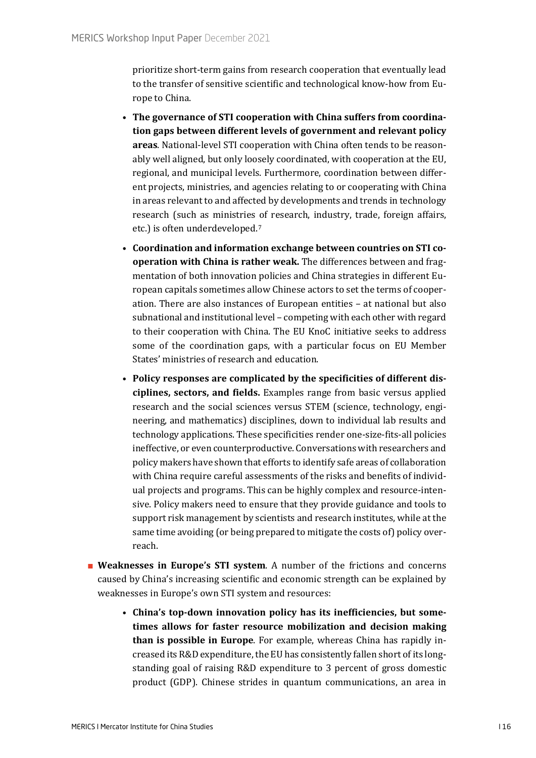prioritize short-term gains from research cooperation that eventually lead to the transfer of sensitive scientific and technological know-how from Europe to China.

- **The governance of STI cooperation with China suffers from coordination gaps between different levels of government and relevant policy areas**. National-level STI cooperation with China often tends to be reasonably well aligned, but only loosely coordinated, with cooperation at the EU, regional, and municipal levels. Furthermore, coordination between different projects, ministries, and agencies relating to or cooperating with China in areas relevant to and affected by developments and trends in technology research (such as ministries of research, industry, trade, foreign affairs, etc.) is often underdeveloped.[7](#page-22-6)
- **Coordination and information exchange between countries on STI cooperation with China is rather weak.** The differences between and fragmentation of both innovation policies and China strategies in different European capitals sometimes allow Chinese actors to set the terms of cooperation. There are also instances of European entities – at national but also subnational and institutional level – competing with each other with regard to their cooperation with China. The EU KnoC initiative seeks to address some of the coordination gaps, with a particular focus on EU Member States' ministries of research and education.
- **Policy responses are complicated by the specificities of different disciplines, sectors, and fields.** Examples range from basic versus applied research and the social sciences versus STEM (science, technology, engineering, and mathematics) disciplines, down to individual lab results and technology applications. These specificities render one-size-fits-all policies ineffective, or even counterproductive. Conversations with researchers and policy makers have shown that efforts to identify safe areas of collaboration with China require careful assessments of the risks and benefits of individual projects and programs. This can be highly complex and resource-intensive. Policy makers need to ensure that they provide guidance and tools to support risk management by scientists and research institutes, while at the same time avoiding (or being prepared to mitigate the costs of) policy overreach.
- **Weaknesses in Europe's STI system**. A number of the frictions and concerns caused by China's increasing scientific and economic strength can be explained by weaknesses in Europe's own STI system and resources:
	- **China's top-down innovation policy has its inefficiencies, but sometimes allows for faster resource mobilization and decision making than is possible in Europe**. For example, whereas China has rapidly increased its R&D expenditure, the EU has consistently fallen short of its longstanding goal of raising R&D expenditure to 3 percent of gross domestic product (GDP). Chinese strides in quantum communications, an area in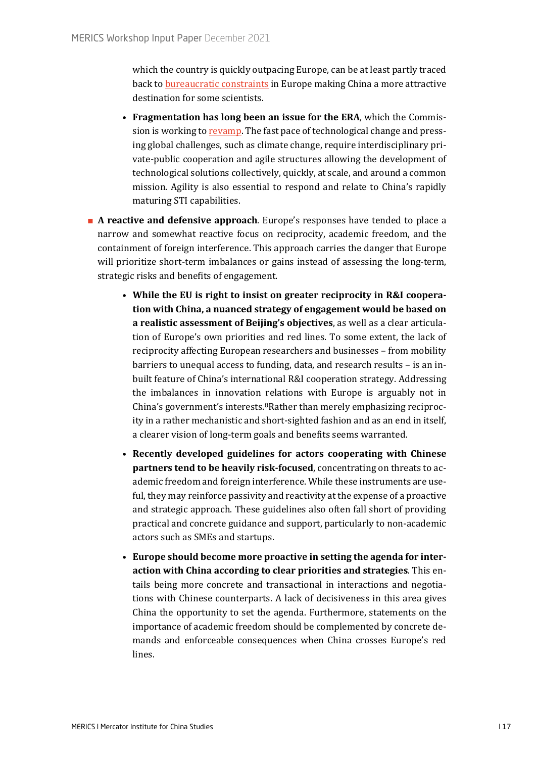which the country is quickly outpacing Europe, can be at least partly traced back to **bureaucratic constraints** in Europe making China a more attractive destination for some scientists.

- **Fragmentation has long been an issue for the ERA**, which the Commission is working to [revamp.](https://sciencebusiness.net/news/regions-call-greater-political-commitment-fix-fragmented-era) The fast pace of technological change and pressing global challenges, such as climate change, require interdisciplinary private-public cooperation and agile structures allowing the development of technological solutions collectively, quickly, at scale, and around a common mission. Agility is also essential to respond and relate to China's rapidly maturing STI capabilities.
- **A reactive and defensive approach**. Europe's responses have tended to place a narrow and somewhat reactive focus on reciprocity, academic freedom, and the containment of foreign interference. This approach carries the danger that Europe will prioritize short-term imbalances or gains instead of assessing the long-term, strategic risks and benefits of engagement.
	- **While the EU is right to insist on greater reciprocity in R&I cooperation with China, a nuanced strategy of engagement would be based on a realistic assessment of Beijing's objectives**, as well as a clear articulation of Europe's own priorities and red lines. To some extent, the lack of reciprocity affecting European researchers and businesses – from mobility barriers to unequal access to funding, data, and research results – is an inbuilt feature of China's international R&I cooperation strategy. Addressing the imbalances in innovation relations with Europe is arguably not in China's government's interests.[8](#page-22-7)Rather than merely emphasizing reciprocity in a rather mechanistic and short-sighted fashion and as an end in itself, a clearer vision of long-term goals and benefits seems warranted.
	- **Recently developed guidelines for actors cooperating with Chinese partners tend to be heavily risk-focused**, concentrating on threats to academic freedom and foreign interference. While these instruments are useful, they may reinforce passivity and reactivity at the expense of a proactive and strategic approach. These guidelines also often fall short of providing practical and concrete guidance and support, particularly to non-academic actors such as SMEs and startups.
	- **Europe should become more proactive in setting the agenda for interaction with China according to clear priorities and strategies**. This entails being more concrete and transactional in interactions and negotiations with Chinese counterparts. A lack of decisiveness in this area gives China the opportunity to set the agenda. Furthermore, statements on the importance of academic freedom should be complemented by concrete demands and enforceable consequences when China crosses Europe's red lines.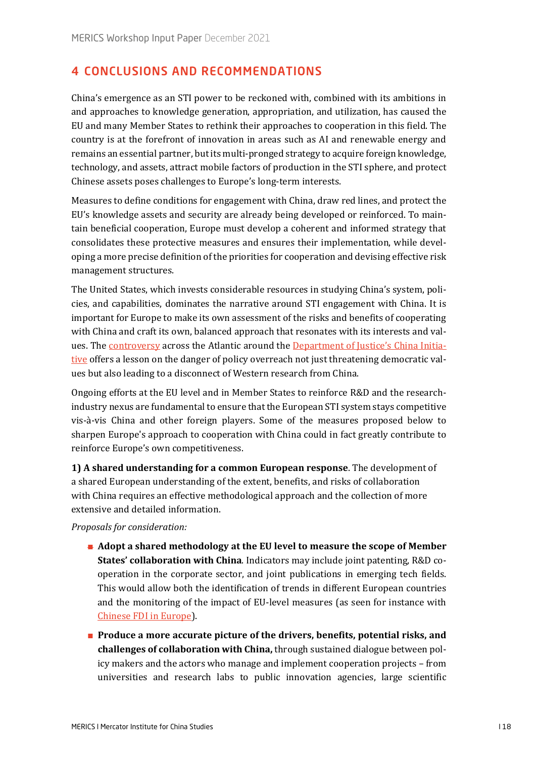# 4 CONCLUSIONS AND RECOMMENDATIONS

China's emergence as an STI power to be reckoned with, combined with its ambitions in and approaches to knowledge generation, appropriation, and utilization, has caused the EU and many Member States to rethink their approaches to cooperation in this field. The country is at the forefront of innovation in areas such as AI and renewable energy and remains an essential partner, but its multi-pronged strategy to acquire foreign knowledge, technology, and assets, attract mobile factors of production in the STI sphere, and protect Chinese assets poses challenges to Europe's long-term interests.

Measures to define conditions for engagement with China, draw red lines, and protect the EU's knowledge assets and security are already being developed or reinforced. To maintain beneficial cooperation, Europe must develop a coherent and informed strategy that consolidates these protective measures and ensures their implementation, while developing a more precise definition of the priorities for cooperation and devising effective risk management structures.

The United States, which invests considerable resources in studying China's system, policies, and capabilities, dominates the narrative around STI engagement with China. It is important for Europe to make its own assessment of the risks and benefits of cooperating with China and craft its own, balanced approach that resonates with its interests and values. The [controversy](https://foreignpolicy.com/2021/07/22/china-initiative-espionage-mistrial-hu/) across the Atlantic around the [Department of Justice's China Initia](https://www.technologyreview.com/2021/12/02/1040656/china-initative-us-justice-department/)[tive](https://www.technologyreview.com/2021/12/02/1040656/china-initative-us-justice-department/) offers a lesson on the danger of policy overreach not just threatening democratic values but also leading to a disconnect of Western research from China.

Ongoing efforts at the EU level and in Member States to reinforce R&D and the researchindustry nexus are fundamental to ensure that the European STI system stays competitive vis-à-vis China and other foreign players. Some of the measures proposed below to sharpen Europe's approach to cooperation with China could in fact greatly contribute to reinforce Europe's own competitiveness.

**1) A shared understanding for a common European response**. The development of a shared European understanding of the extent, benefits, and risks of collaboration with China requires an effective methodological approach and the collection of more extensive and detailed information.

#### *Proposals for consideration:*

- **Adopt a shared methodology at the EU level to measure the scope of Member States' collaboration with China**. Indicators may include joint patenting, R&D cooperation in the corporate sector, and joint publications in emerging tech fields. This would allow both the identification of trends in different European countries and the monitoring of the impact of EU-level measures (as seen for instance with [Chinese FDI in Europe](https://merics.org/en/report/chinese-fdi-europe-2018-trends-and-impact-new-screening-policies)).
- **Produce a more accurate picture of the drivers, benefits, potential risks, and challenges of collaboration with China,** through sustained dialogue between policy makers and the actors who manage and implement cooperation projects – from universities and research labs to public innovation agencies, large scientific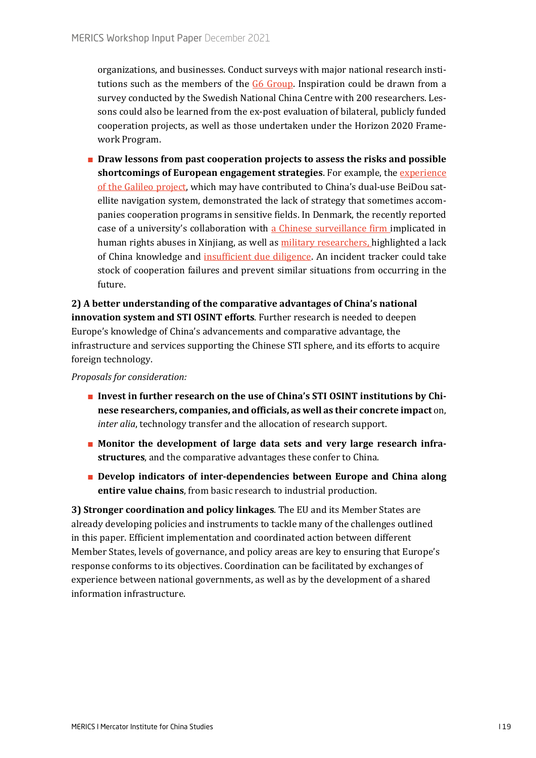organizations, and businesses. Conduct surveys with major national research insti-tutions such as the members of the [G6 Group.](https://sciencebusiness.net/news/six-eu-science-bosses-join-forces-push-more-eu-funding-excellent-science) Inspiration could be drawn from a survey conducted by the Swedish National China Centre with 200 researchers. Lessons could also be learned from the ex-post evaluation of bilateral, publicly funded cooperation projects, as well as those undertaken under the Horizon 2020 Framework Program.

■ **Draw lessons from past cooperation projects to assess the risks and possible shortcomings of European engagement strategies**. For example, the [experience](https://www.reuters.com/article/breakout-beidou/special-report-in-satellite-tech-race-china-hitched-a-ride-from-europe-idUSL4N0JJ0J320131222)  [of the Galileo project,](https://www.reuters.com/article/breakout-beidou/special-report-in-satellite-tech-race-china-hitched-a-ride-from-europe-idUSL4N0JJ0J320131222) which may have contributed to China's dual-use BeiDou satellite navigation system, demonstrated the lack of strategy that sometimes accompanies cooperation programs in sensitive fields. In Denmark, the recently reported case of a university's collaboration with [a Chinese surveillance firm i](https://politiken.dk/udland/int_kina/art7835507/Aalborg-Universitet-har-hjulpet-omstridt-kinesisk-firma-der-bidrager-til-forf%C3%B8lgelse-og-overv%C3%A5gning-af-millioner)mplicated in human rights abuses in Xinjiang, as well as [military researchers,](https://politiken.dk/udland/int_kina/art7865938/Aalborg-Universitet-beklager-samarbejde-Hjalp-kinesisk-milit%C3%A6rforsker) highlighted a lack of China knowledge and [insufficient due diligence.](https://politiken.dk/udland/int_kina/art7852165/Aalborgforsker-samarbejdede-med-kinesisk-milit%C3%A6ringeni%C3%B8r) An incident tracker could take stock of cooperation failures and prevent similar situations from occurring in the future.

**2) A better understanding of the comparative advantages of China's national innovation system and STI OSINT efforts**. Further research is needed to deepen Europe's knowledge of China's advancements and comparative advantage, the infrastructure and services supporting the Chinese STI sphere, and its efforts to acquire foreign technology.

*Proposals for consideration:*

- **Invest in further research on the use of China's STI OSINT institutions by Chinese researchers, companies, and officials, as well as their concrete impact** on, *inter alia*, technology transfer and the allocation of research support.
- **Monitor the development of large data sets and very large research infrastructures**, and the comparative advantages these confer to China.
- **Develop indicators of inter-dependencies between Europe and China along entire value chains**, from basic research to industrial production.

**3) Stronger coordination and policy linkages**. The EU and its Member States are already developing policies and instruments to tackle many of the challenges outlined in this paper. Efficient implementation and coordinated action between different Member States, levels of governance, and policy areas are key to ensuring that Europe's response conforms to its objectives. Coordination can be facilitated by exchanges of experience between national governments, as well as by the development of a shared information infrastructure.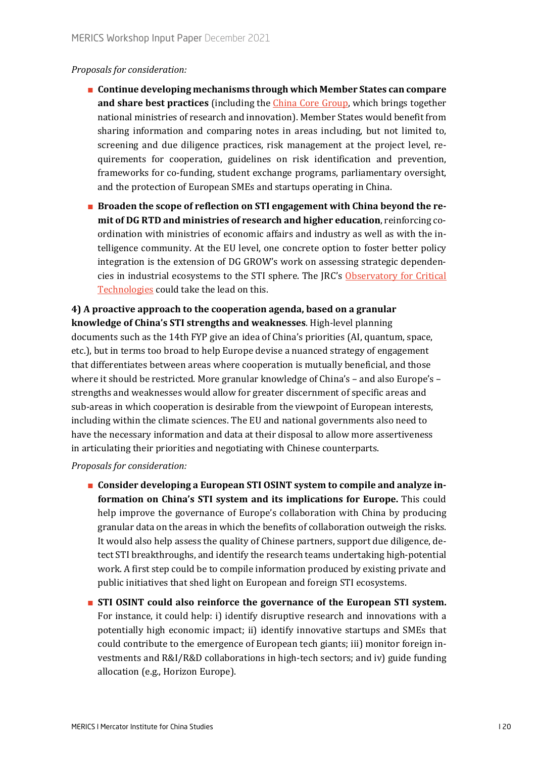#### *Proposals for consideration:*

- **Continue developing mechanisms through which Member States can compare and share best practices** (including the [China Core Group,](https://data.consilium.europa.eu/doc/document/ST-1205-2021-INIT/en/pdf) which brings together national ministries of research and innovation). Member States would benefit from sharing information and comparing notes in areas including, but not limited to, screening and due diligence practices, risk management at the project level, requirements for cooperation, guidelines on risk identification and prevention, frameworks for co-funding, student exchange programs, parliamentary oversight, and the protection of European SMEs and startups operating in China.
- **Broaden the scope of reflection on STI engagement with China beyond the remit of DG RTD and ministries of research and higher education**, reinforcing coordination with ministries of economic affairs and industry as well as with the intelligence community. At the EU level, one concrete option to foster better policy integration is the extension of DG GROW's work on assessing strategic dependencies in industrial ecosystems to the STI sphere. The JRC's [Observatory for Critical](https://ec.europa.eu/commission/presscorner/detail/en/QANDA_21_652)  [Technologies](https://ec.europa.eu/commission/presscorner/detail/en/QANDA_21_652) could take the lead on this.

# **4) A proactive approach to the cooperation agenda, based on a granular knowledge of China's STI strengths and weaknesses**. High-level planning

documents such as the 14th FYP give an idea of China's priorities (AI, quantum, space, etc.), but in terms too broad to help Europe devise a nuanced strategy of engagement that differentiates between areas where cooperation is mutually beneficial, and those where it should be restricted. More granular knowledge of China's – and also Europe's – strengths and weaknesses would allow for greater discernment of specific areas and sub-areas in which cooperation is desirable from the viewpoint of European interests, including within the climate sciences. The EU and national governments also need to have the necessary information and data at their disposal to allow more assertiveness in articulating their priorities and negotiating with Chinese counterparts.

#### *Proposals for consideration:*

- **Consider developing a European STI OSINT system to compile and analyze information on China's STI system and its implications for Europe.** This could help improve the governance of Europe's collaboration with China by producing granular data on the areas in which the benefits of collaboration outweigh the risks. It would also help assess the quality of Chinese partners, support due diligence, detect STI breakthroughs, and identify the research teams undertaking high-potential work. A first step could be to compile information produced by existing private and public initiatives that shed light on European and foreign STI ecosystems.
- **STI OSINT could also reinforce the governance of the European STI system.**  For instance, it could help: i) identify disruptive research and innovations with a potentially high economic impact; ii) identify innovative startups and SMEs that could contribute to the emergence of European tech giants; iii) monitor foreign investments and R&I/R&D collaborations in high-tech sectors; and iv) guide funding allocation (e.g., Horizon Europe).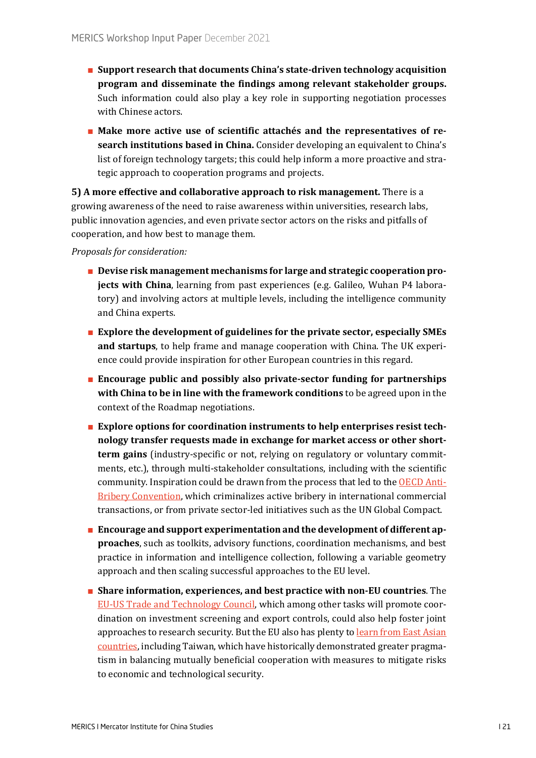- **Support research that documents China's state-driven technology acquisition program and disseminate the findings among relevant stakeholder groups.** Such information could also play a key role in supporting negotiation processes with Chinese actors.
- Make more active use of scientific attachés and the representatives of re**search institutions based in China.** Consider developing an equivalent to China's list of foreign technology targets; this could help inform a more proactive and strategic approach to cooperation programs and projects.

**5) A more effective and collaborative approach to risk management.** There is a growing awareness of the need to raise awareness within universities, research labs, public innovation agencies, and even private sector actors on the risks and pitfalls of cooperation, and how best to manage them.

*Proposals for consideration:*

- **Devise risk management mechanisms for large and strategic cooperation projects with China**, learning from past experiences (e.g. Galileo, Wuhan P4 laboratory) and involving actors at multiple levels, including the intelligence community and China experts.
- **Explore the development of guidelines for the private sector, especially SMEs and startups**, to help frame and manage cooperation with China. The UK experience could provide inspiration for other European countries in this regard.
- **Encourage public and possibly also private-sector funding for partnerships with China to be in line with the framework conditions** to be agreed upon in the context of the Roadmap negotiations.
- **Explore options for coordination instruments to help enterprises resist technology transfer requests made in exchange for market access or other shortterm gains** (industry-specific or not, relying on regulatory or voluntary commitments, etc.), through multi-stakeholder consultations, including with the scientific community. Inspiration could be drawn from the process that led to th[e OECD Anti](https://www.oecd.org/corruption-integrity/explore/oecd-standards/anti-bribery-convention/)-[Bribery Convention,](https://www.oecd.org/corruption-integrity/explore/oecd-standards/anti-bribery-convention/) which criminalizes active bribery in international commercial transactions, or from private sector-led initiatives such as the UN Global Compact.
- **Encourage and support experimentation and the development of different approaches**, such as toolkits, advisory functions, coordination mechanisms, and best practice in information and intelligence collection, following a variable geometry approach and then scaling successful approaches to the EU level.
- **Share information, experiences, and best practice with non-EU countries**. The EU-[US Trade and Technology Council,](https://ec.europa.eu/commission/presscorner/detail/en/STATEMENT_21_4951) which among other tasks will promote coordination on investment screening and export controls, could also help foster joint approaches to research security. But the EU also has plenty to learn from East Asian [countries](https://merics.org/en/events/lessons-east-asia-kick-event), including Taiwan, which have historically demonstrated greater pragmatism in balancing mutually beneficial cooperation with measures to mitigate risks to economic and technological security.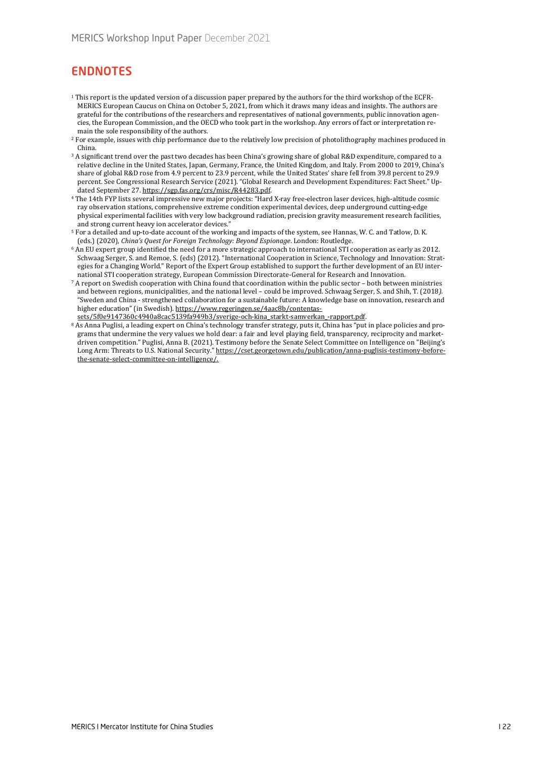# ENDNOTES

- <sup>1</sup> This report is the updated version of a discussion paper prepared by the authors for the third workshop of the ECFR-MERICS European Caucus on China on October 5, 2021, from which it draws many ideas and insights. The authors are grateful for the contributions of the researchers and representatives of national governments, public innovation agencies, the European Commission, and the OECD who took part in the workshop. Any errors of fact or interpretation remain the sole responsibility of the authors.
- <sup>2</sup> For example, issues with chip performance due to the relatively low precision of photolithography machines produced in China.
- <sup>3</sup> A significant trend over the past two decades has been China's growing share of global R&D expenditure, compared to a relative decline in the United States, Japan, Germany, France, the United Kingdom, and Italy. From 2000 to 2019, China's share of global R&D rose from 4.9 percent to 23.9 percent, while the United States' share fell from 39.8 percent to 29.9 percent. See Congressional Research Service (2021). "Global Research and Development Expenditures: Fact Sheet." Updated September 27[. https://sgp.fas.org/crs/misc/R44283.pdf.](https://sgp.fas.org/crs/misc/R44283.pdf)
- <sup>4</sup> The 14th FYP lists several impressive new major projects: "Hard X-ray free-electron laser devices, high-altitude cosmic ray observation stations, comprehensive extreme condition experimental devices, deep underground cutting-edge physical experimental facilities with very low background radiation, precision gravity measurement research facilities, and strong current heavy ion accelerator devices."
- <sup>5</sup> For a detailed and up-to-date account of the working and impacts of the system, see Hannas, W. C. and Tatlow, D. K. (eds.) (2020), *China's Quest for Foreign Technology: Beyond Espionage*. London: Routledge.
- <sup>6</sup> An EU expert group identified the need for a more strategic approach to international STI cooperation as early as 2012. Schwaag Serger, S. and Remoe, S. (eds) (2012). "International Cooperation in Science, Technology and Innovation: Strategies for a Changing World." Report of the Expert Group established to support the further development of an EU international STI cooperation strategy, European Commission Directorate-General for Research and Innovation.
- <sup>7</sup> A report on Swedish cooperation with China found that coordination within the public sector both between ministries and between regions, municipalities, and the national level – could be improved. Schwaag Serger, S. and Shih, T. (2018*).*  "Sweden and China - strengthened collaboration for a sustainable future: A knowledge base on innovation, research and higher education" (in Swedish)*.* [https://www.regeringen.se/4aac8b/contentas](https://www.regeringen.se/4aac8b/contentassets/5f0e9147360c4940a8cac5139fa949b3/sverige-och-kina_starkt-samverkan_-rapport.pdf)[sets/5f0e9147360c4940a8cac5139fa949b3/sverige](https://www.regeringen.se/4aac8b/contentassets/5f0e9147360c4940a8cac5139fa949b3/sverige-och-kina_starkt-samverkan_-rapport.pdf)-och-kina\_starkt-samverkan\_-rapport.pdf.
- 8 As Anna Puglisi, a leading expert on China's technology transfer strategy, puts it, China has "put in place policies and programs that undermine the very values we hold dear: a fair and level playing field, transparency, reciprocity and marketdriven competition." Puglisi, Anna B. (2021). Testimony before the Senate Select Committee on Intelligence on "Beijing's Long Arm: Threats to U.S. National Security.[" https://cset.georgetown.edu/publication/anna](https://cset.georgetown.edu/publication/anna-puglisis-testimony-before-the-senate-select-committee-on-intelligence/)-puglisis-testimony-beforethe-senate-select[-committee-on-](https://cset.georgetown.edu/publication/anna-puglisis-testimony-before-the-senate-select-committee-on-intelligence/)intelligence/.